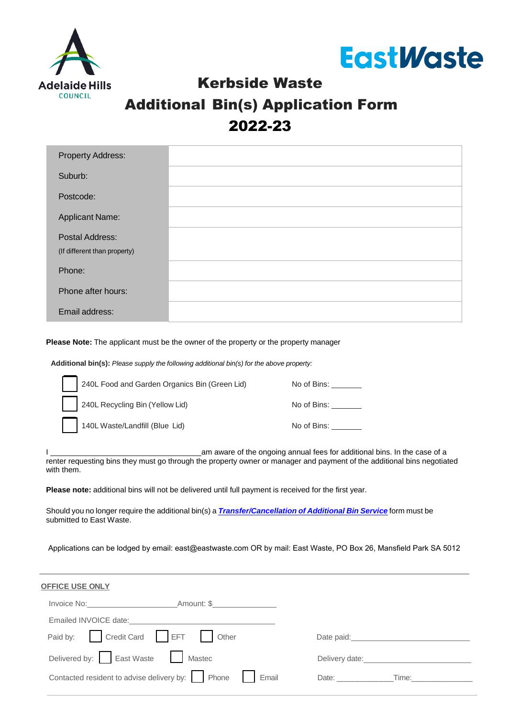



# Kerbside Waste Additional Bin(s) Application Form 2022-23

| <b>Property Address:</b>     |  |
|------------------------------|--|
| Suburb:                      |  |
| Postcode:                    |  |
| <b>Applicant Name:</b>       |  |
| Postal Address:              |  |
| (If different than property) |  |
| Phone:                       |  |
| Phone after hours:           |  |
| Email address:               |  |

**Please Note:** The applicant must be the owner of the property or the property manager

**Additional bin(s):** *Please supply the following additional bin(s) for the above property:* 

| 240L Food and Garden Organics Bin (Green Lid) | No of Bins: |
|-----------------------------------------------|-------------|
| 240L Recycling Bin (Yellow Lid)               | No of Bins: |
| 140L Waste/Landfill (Blue Lid)                | No of Bins: |

I am aware of the ongoing annual fees for additional bins. In the case of a renter requesting bins they must go through the property owner or manager and payment of the additional bins negotiated with them.

**Please note:** additional bins will not be delivered until full payment is received for the first year.

Should you no longer require the additional bin(s) a *[Transfer/Cancellation of Additional Bin Service](https://www.eastwaste.com.au/wp-content/uploads/2022/06/Transfer-of-Cancellation-of-Additional-Bins-AHC-2022.pdf)* form must be submitted to East Waste.

Applications can be lodged by email: [east@eastwaste.com](mailto:east@eastwaste.com) OR by mail: East Waste, PO Box 26, Mansfield Park SA 5012

| OFFICE USE ONLY                                                                  |                                                                                                                                                                                                                                |  |  |  |  |
|----------------------------------------------------------------------------------|--------------------------------------------------------------------------------------------------------------------------------------------------------------------------------------------------------------------------------|--|--|--|--|
| Invoice No: Amount: \$                                                           |                                                                                                                                                                                                                                |  |  |  |  |
| Emailed INVOICE date:<br><u> Emailed</u> INVOICE date:                           |                                                                                                                                                                                                                                |  |  |  |  |
| Paid by: Credit Card EFT Other                                                   | Date paid: the contract of the contract of the contract of the contract of the contract of the contract of the contract of the contract of the contract of the contract of the contract of the contract of the contract of the |  |  |  |  |
| Delivered by: East Waste   Mastec                                                | Delivery date: Note: Note: Note: Note: Note: Note: Note: Note: Note: Note: Note: Note: Note: Note: Note: Note: Note: Note: Note: Note: Note: Note: Note: Note: Note: Note: Note: Note: Note: Note: Note: Note: Note: Note: Not |  |  |  |  |
| Contacted resident to advise delivery by: $\ \cdot\ $ Phone $\ \cdot\ $<br>Email | Date: Time:                                                                                                                                                                                                                    |  |  |  |  |